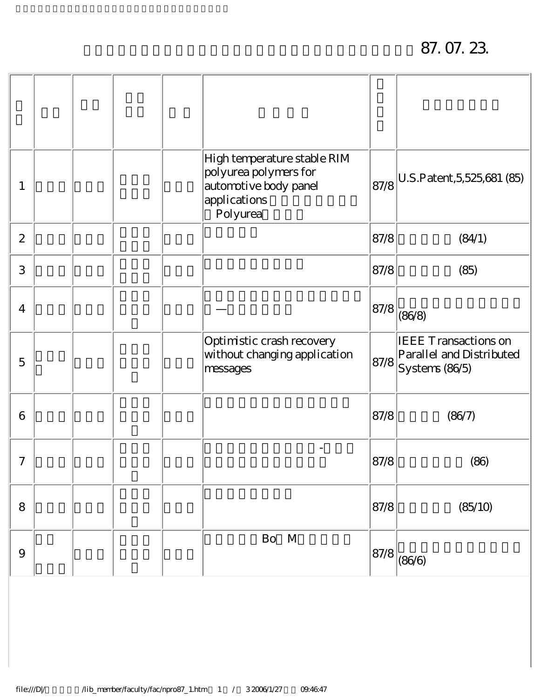## 87. 07. 23.

| 1              |  |  | High temperature stable RIM<br>polyurea polymers for<br>automotive body panel<br>applications<br>Polyurea | 87/8 | U.S.Patent, 5,525, 681 (85)                                               |
|----------------|--|--|-----------------------------------------------------------------------------------------------------------|------|---------------------------------------------------------------------------|
| $\mathbf{2}$   |  |  |                                                                                                           | 87/8 | (84/1)                                                                    |
| 3              |  |  |                                                                                                           | 87/8 | (85)                                                                      |
| $\overline{4}$ |  |  |                                                                                                           |      | $ 87/8 $ (86/8)                                                           |
| $\overline{5}$ |  |  | Optimistic crash recovery<br>without changing application<br>messages                                     | 87/8 | <b>IEEE Transactions on</b><br>Parallel and Distributed<br>Systems (86/5) |
| 6              |  |  |                                                                                                           | 87/8 | (86/7)                                                                    |
| 7              |  |  |                                                                                                           | 87/8 | (86)                                                                      |
| 8              |  |  |                                                                                                           | 87/8 | (85/10)                                                                   |
| $\Theta$       |  |  | Bo M                                                                                                      |      | $ 87/8 $ <sub>(86</sub> /6)                                               |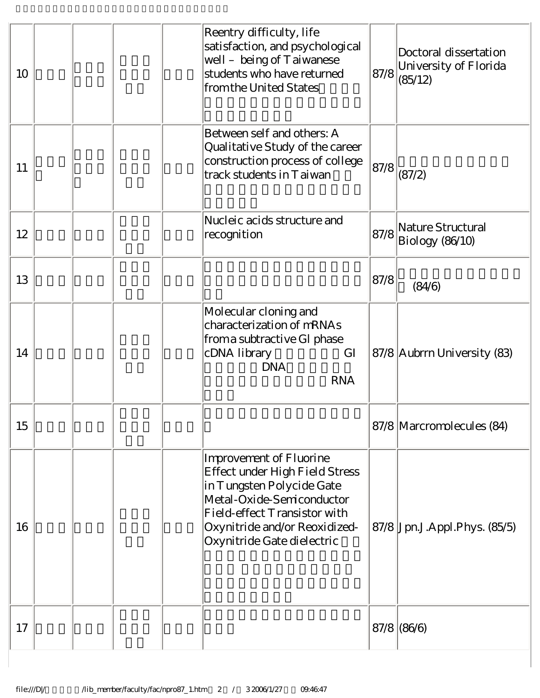| 10 |  |  | Reentry difficulty, life<br>satisfaction, and psychological<br>well - being of Taiwanese<br>students who have returned<br>from the United States                                                                   | 87/8 | Doctoral dissertation<br>University of Florida<br>(85/12) |
|----|--|--|--------------------------------------------------------------------------------------------------------------------------------------------------------------------------------------------------------------------|------|-----------------------------------------------------------|
| 11 |  |  | Between self and others: A<br>Qualitative Study of the career<br>construction process of college<br>track students in T aiwan                                                                                      | 87/8 | (87/2)                                                    |
| 12 |  |  | Nucleic acids structure and<br>recognition                                                                                                                                                                         | 87/8 | Nature Structural<br>Biology (86/10)                      |
| 13 |  |  |                                                                                                                                                                                                                    | 87/8 | (84/6)                                                    |
| 14 |  |  | Molecular cloning and<br>characterization of mRNAs<br>from a subtractive Gl phase<br>cDNA library<br>GI<br><b>DNA</b><br><b>RNA</b>                                                                                |      | 87/8 Aubrrn University (83)                               |
| 15 |  |  |                                                                                                                                                                                                                    |      | 87/8 Marcromolecules (84)                                 |
| 16 |  |  | Improvement of Fluorine<br>Effect under High Field Stress<br>in Tungsten Polycide Gate<br>Metal-Oxide-Semiconductor<br>Field-effect Transistor with<br>Oxynitride and/or Reoxidized-<br>Oxynitride Gate dielectric |      | 87/8 Jpn.J.Appl.Phys. (85/5)                              |
| 17 |  |  |                                                                                                                                                                                                                    |      | $87/8$ (86/6)                                             |

 $\overline{\phantom{a}}$